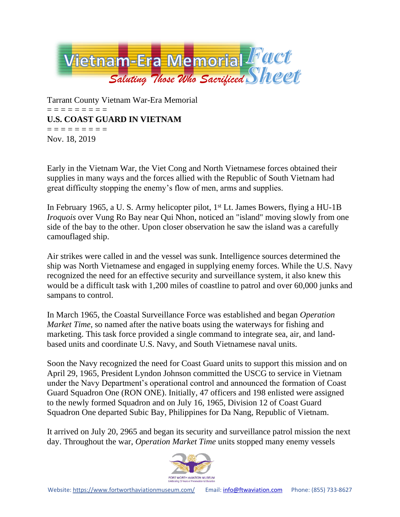

Tarrant County Vietnam War-Era Memorial = = = = = = = = = **U.S. COAST GUARD IN VIETNAM** = = = = = = = = = Nov. 18, 2019

Early in the Vietnam War, the Viet Cong and North Vietnamese forces obtained their supplies in many ways and the forces allied with the Republic of South Vietnam had great difficulty stopping the enemy's flow of men, arms and supplies.

In February 1965, a U. S. Army helicopter pilot, 1<sup>st</sup> Lt. James Bowers, flying a HU-1B *Iroquois* over Vung Ro Bay near Qui Nhon, noticed an "island" moving slowly from one side of the bay to the other. Upon closer observation he saw the island was a carefully camouflaged ship.

Air strikes were called in and the vessel was sunk. Intelligence sources determined the ship was North Vietnamese and engaged in supplying enemy forces. While the U.S. Navy recognized the need for an effective security and surveillance system, it also knew this would be a difficult task with 1,200 miles of coastline to patrol and over 60,000 junks and sampans to control.

In March 1965, the Coastal Surveillance Force was established and began *Operation Market Time*, so named after the native boats using the waterways for fishing and marketing. This task force provided a single command to integrate sea, air, and landbased units and coordinate U.S. Navy, and South Vietnamese naval units.

Soon the Navy recognized the need for Coast Guard units to support this mission and on April 29, 1965, President Lyndon Johnson committed the USCG to service in Vietnam under the Navy Department's operational control and announced the formation of Coast Guard Squadron One (RON ONE). Initially, 47 officers and 198 enlisted were assigned to the newly formed Squadron and on July 16, 1965, Division 12 of Coast Guard Squadron One departed Subic Bay, Philippines for Da Nang, Republic of Vietnam.

It arrived on July 20, 2965 and began its security and surveillance patrol mission the next day. Throughout the war, *Operation Market Time* units stopped many enemy vessels